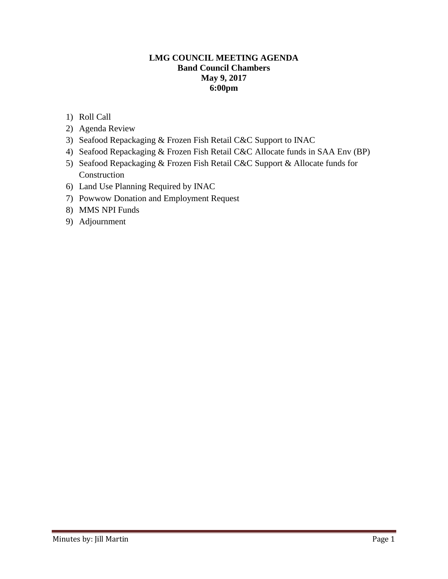## **LMG COUNCIL MEETING AGENDA Band Council Chambers May 9, 2017 6:00pm**

- 1) Roll Call
- 2) Agenda Review
- 3) Seafood Repackaging & Frozen Fish Retail C&C Support to INAC
- 4) Seafood Repackaging & Frozen Fish Retail C&C Allocate funds in SAA Env (BP)
- 5) Seafood Repackaging & Frozen Fish Retail C&C Support & Allocate funds for Construction
- 6) Land Use Planning Required by INAC
- 7) Powwow Donation and Employment Request
- 8) MMS NPI Funds
- 9) Adjournment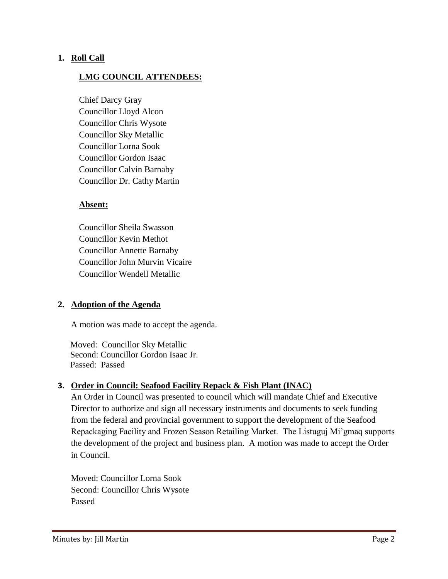# **1. Roll Call**

# **LMG COUNCIL ATTENDEES:**

Chief Darcy Gray Councillor Lloyd Alcon Councillor Chris Wysote Councillor Sky Metallic Councillor Lorna Sook Councillor Gordon Isaac Councillor Calvin Barnaby Councillor Dr. Cathy Martin

## **Absent:**

Councillor Sheila Swasson Councillor Kevin Methot Councillor Annette Barnaby Councillor John Murvin Vicaire Councillor Wendell Metallic

## **2. Adoption of the Agenda**

A motion was made to accept the agenda.

 Moved: Councillor Sky Metallic Second: Councillor Gordon Isaac Jr. Passed: Passed

## **3. Order in Council: Seafood Facility Repack & Fish Plant (INAC)**

An Order in Council was presented to council which will mandate Chief and Executive Director to authorize and sign all necessary instruments and documents to seek funding from the federal and provincial government to support the development of the Seafood Repackaging Facility and Frozen Season Retailing Market. The Listuguj Mi'gmaq supports the development of the project and business plan. A motion was made to accept the Order in Council.

Moved: Councillor Lorna Sook Second: Councillor Chris Wysote Passed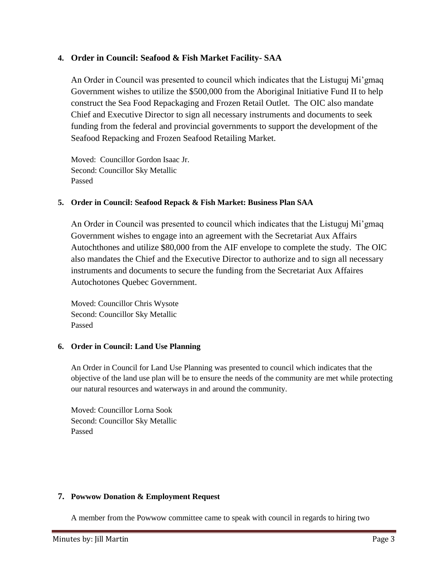## **4. Order in Council: Seafood & Fish Market Facility- SAA**

An Order in Council was presented to council which indicates that the Listuguj Mi'gmaq Government wishes to utilize the \$500,000 from the Aboriginal Initiative Fund II to help construct the Sea Food Repackaging and Frozen Retail Outlet. The OIC also mandate Chief and Executive Director to sign all necessary instruments and documents to seek funding from the federal and provincial governments to support the development of the Seafood Repacking and Frozen Seafood Retailing Market.

Moved: Councillor Gordon Isaac Jr. Second: Councillor Sky Metallic Passed

#### **5. Order in Council: Seafood Repack & Fish Market: Business Plan SAA**

An Order in Council was presented to council which indicates that the Listuguj Mi'gmaq Government wishes to engage into an agreement with the Secretariat Aux Affairs Autochthones and utilize \$80,000 from the AIF envelope to complete the study. The OIC also mandates the Chief and the Executive Director to authorize and to sign all necessary instruments and documents to secure the funding from the Secretariat Aux Affaires Autochotones Quebec Government.

Moved: Councillor Chris Wysote Second: Councillor Sky Metallic Passed

#### **6. Order in Council: Land Use Planning**

An Order in Council for Land Use Planning was presented to council which indicates that the objective of the land use plan will be to ensure the needs of the community are met while protecting our natural resources and waterways in and around the community.

Moved: Councillor Lorna Sook Second: Councillor Sky Metallic Passed

#### **7. Powwow Donation & Employment Request**

A member from the Powwow committee came to speak with council in regards to hiring two